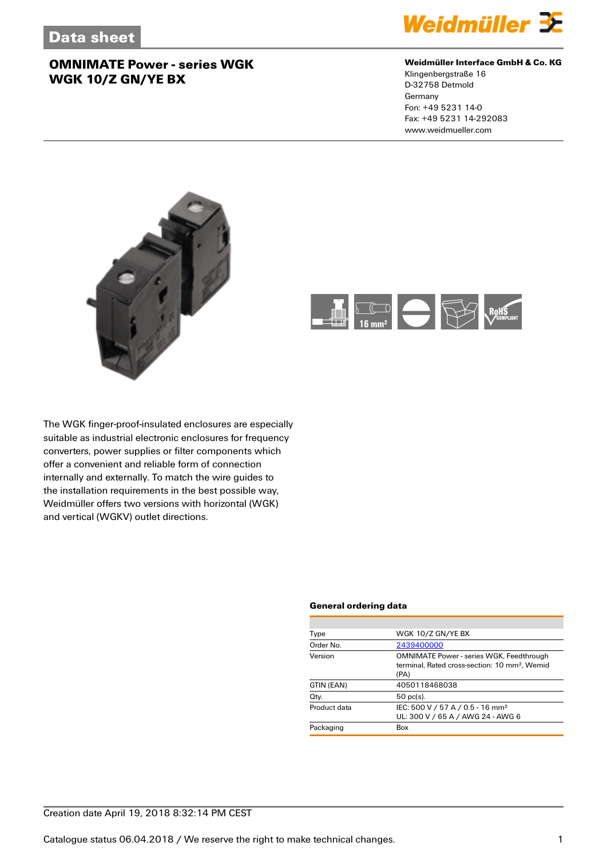

### **Weidmüller Interface GmbH & Co. KG**

Klingenbergstraße 16 D-32758 Detmold Germany Fon: +49 5231 14-0 Fax: +49 5231 14-292083 www.weidmueller.com





The WGK finger-proof-insulated enclosures are especially suitable as industrial electronic enclosures for frequency converters, power supplies or filter components which offer a convenient and reliable form of connection internally and externally. To match the wire guides to the installation requirements in the best possible way, Weidmüller offers two versions with horizontal (WGK) and vertical (WGKV) outlet directions.

#### **General ordering data**

| WGK 10/Z GN/YE BX                                                                                                    |
|----------------------------------------------------------------------------------------------------------------------|
| 2439400000                                                                                                           |
| <b>OMNIMATE Power - series WGK, Feedthrough</b><br>terminal. Rated cross-section: 10 mm <sup>2</sup> . Wemid<br>(PA) |
| 4050118468038                                                                                                        |
| $50$ pc(s).                                                                                                          |
| IEC: 500 V / 57 A / 0.5 - 16 mm <sup>2</sup><br>UL: 300 V / 65 A / AWG 24 - AWG 6                                    |
| Box                                                                                                                  |
|                                                                                                                      |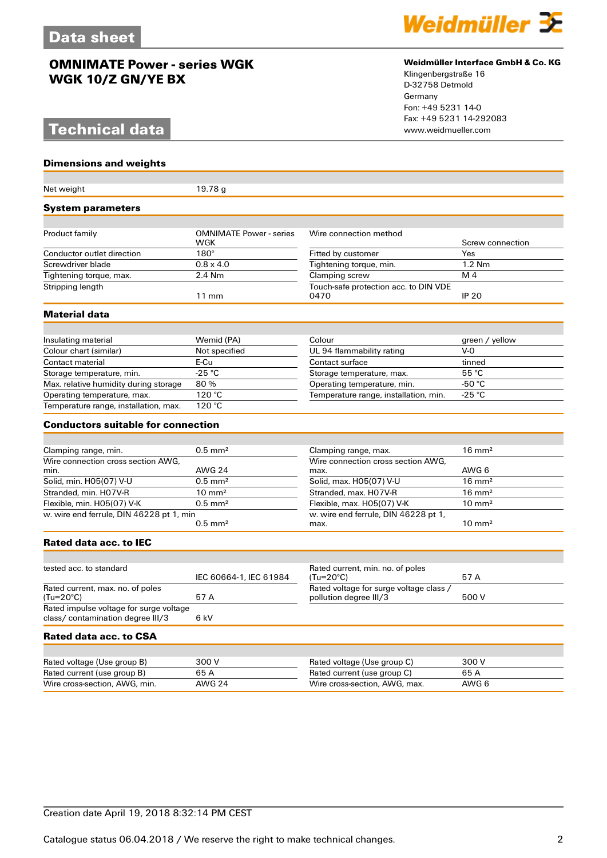## **Technical data**

### **Dimensions and weights**

| Net weight                                                                  | 19.78g                                 |                                                                   |                            |
|-----------------------------------------------------------------------------|----------------------------------------|-------------------------------------------------------------------|----------------------------|
| System parameters                                                           |                                        |                                                                   |                            |
|                                                                             |                                        |                                                                   |                            |
| Product family                                                              | <b>OMNIMATE Power - series</b><br>WGK  | Wire connection method                                            | Screw connection           |
| Conductor outlet direction                                                  | $180^\circ$                            | Fitted by customer                                                | Yes                        |
| Screwdriver blade                                                           | $0.8 \times 4.0$                       | Tightening torque, min.                                           | $1.2$ Nm                   |
| Tightening torque, max.                                                     | 2.4 Nm                                 | Clamping screw                                                    | M <sub>4</sub>             |
| Stripping length                                                            | $11 \text{ mm}$                        | Touch-safe protection acc. to DIN VDE<br>0470                     | <b>IP 20</b>               |
| Material data                                                               |                                        |                                                                   |                            |
|                                                                             |                                        |                                                                   |                            |
| Insulating material                                                         | Wemid (PA)                             | Colour                                                            | green / yellow             |
| Colour chart (similar)                                                      | Not specified                          | UL 94 flammability rating                                         | $V-0$                      |
| Contact material                                                            | E-Cu                                   | Contact surface                                                   | tinned                     |
| Storage temperature, min.                                                   | $-25 °C$                               | Storage temperature, max.                                         | 55 °C                      |
| Max. relative humidity during storage                                       | 80%                                    | Operating temperature, min.                                       | -50 $^{\circ}$ C           |
| Operating temperature, max.                                                 | 120 °C                                 | Temperature range, installation, min.                             | $-25 °C$                   |
| Temperature range, installation, max.                                       | 120 °C                                 |                                                                   |                            |
| <b>Conductors suitable for connection</b>                                   |                                        |                                                                   |                            |
|                                                                             |                                        |                                                                   |                            |
| Clamping range, min.                                                        | $0.5$ mm <sup>2</sup>                  | Clamping range, max.                                              | $16 \text{ mm}^2$          |
| Wire connection cross section AWG.                                          |                                        | Wire connection cross section AWG.                                |                            |
| min.<br>Solid, min. H05(07) V-U                                             | <b>AWG 24</b><br>$0.5$ mm <sup>2</sup> | max.<br>Solid, max. H05(07) V-U                                   | AWG 6<br>$16 \text{ mm}^2$ |
| Stranded, min. H07V-R                                                       | $10 \text{ mm}^2$                      | Stranded, max. H07V-R                                             | $16 \text{ mm}^2$          |
|                                                                             | $0.5$ mm <sup>2</sup>                  |                                                                   | $10 \text{ mm}^2$          |
| Flexible, min. H05(07) V-K                                                  |                                        | Flexible, max. H05(07) V-K                                        |                            |
| w. wire end ferrule, DIN 46228 pt 1, min                                    | $0.5$ mm <sup>2</sup>                  | w. wire end ferrule, DIN 46228 pt 1,<br>max.                      | $10 \text{ mm}^2$          |
| <b>Rated data acc. to IEC</b>                                               |                                        |                                                                   |                            |
|                                                                             |                                        |                                                                   |                            |
| tested acc. to standard                                                     | IEC 60664-1, IEC 61984                 | Rated current, min. no. of poles<br>$(Tu=20^{\circ}C)$            | 57 A                       |
| Rated current, max. no. of poles<br>(Tu=20°C)                               | 57 A                                   | Rated voltage for surge voltage class /<br>pollution degree III/3 | 500 V                      |
| Rated impulse voltage for surge voltage<br>class/contamination degree III/3 | 6 kV                                   |                                                                   |                            |
| Rated data acc. to CSA                                                      |                                        |                                                                   |                            |
|                                                                             |                                        |                                                                   |                            |
| Rated voltage (Use group B)                                                 | 300 V                                  | Rated voltage (Use group C)                                       | 300 V                      |
| Rated current (use group B)                                                 | 65 A                                   | Rated current (use group C)                                       | 65 A                       |
| Wire cross-section, AWG, min.                                               | <b>AWG 24</b>                          | Wire cross-section, AWG, max.                                     | AWG 6                      |



### **Weidmüller Interface GmbH & Co. KG**

Klingenbergstraße 16 D-32758 Detmold Germany Fon: +49 5231 14-0 Fax: +49 5231 14-292083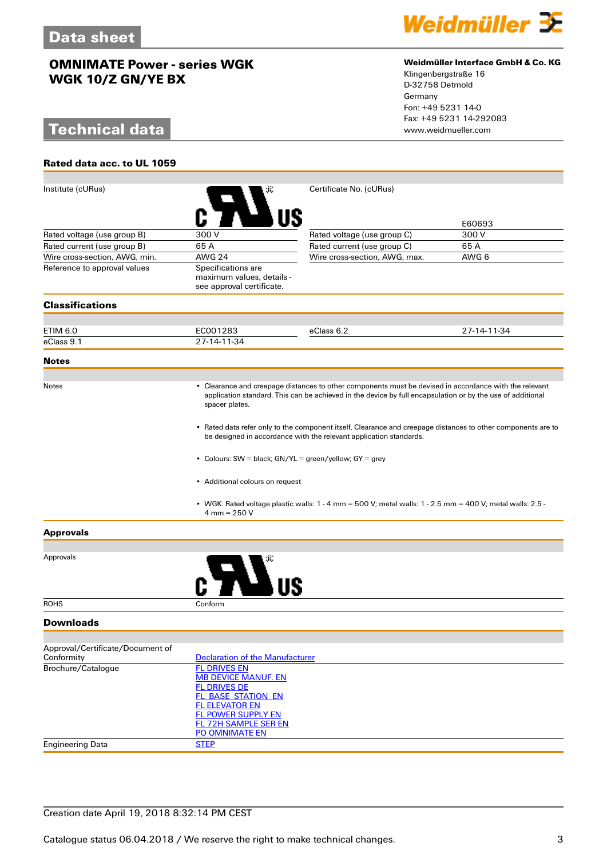# **Technical data**

**Rated data acc. to UL 1059**



### **Weidmüller Interface GmbH & Co. KG**

Klingenbergstraße 16 D-32758 Detmold Germany Fon: +49 5231 14-0 Fax: +49 5231 14-292083

| Institute (cURus)                |                                                                                                                                                                                                                                                                                                                                                        | Certificate No. (cURus)                                                                                       |             |  |  |
|----------------------------------|--------------------------------------------------------------------------------------------------------------------------------------------------------------------------------------------------------------------------------------------------------------------------------------------------------------------------------------------------------|---------------------------------------------------------------------------------------------------------------|-------------|--|--|
|                                  |                                                                                                                                                                                                                                                                                                                                                        |                                                                                                               | E60693      |  |  |
| Rated voltage (use group B)      | 300 V                                                                                                                                                                                                                                                                                                                                                  | Rated voltage (use group C)                                                                                   | 300 V       |  |  |
| Rated current (use group B)      | 65A                                                                                                                                                                                                                                                                                                                                                    | Rated current (use group C)                                                                                   | 65A         |  |  |
| Wire cross-section, AWG, min.    | <b>AWG 24</b>                                                                                                                                                                                                                                                                                                                                          | Wire cross-section, AWG, max.                                                                                 | AWG 6       |  |  |
| Reference to approval values     | Specifications are<br>maximum values, details -<br>see approval certificate.                                                                                                                                                                                                                                                                           |                                                                                                               |             |  |  |
| <b>Classifications</b>           |                                                                                                                                                                                                                                                                                                                                                        |                                                                                                               |             |  |  |
|                                  |                                                                                                                                                                                                                                                                                                                                                        |                                                                                                               |             |  |  |
| ETIM 6.0                         | EC001283                                                                                                                                                                                                                                                                                                                                               | eClass 6.2                                                                                                    | 27-14-11-34 |  |  |
| eClass 9.1                       | 27-14-11-34                                                                                                                                                                                                                                                                                                                                            |                                                                                                               |             |  |  |
| <b>Notes</b>                     |                                                                                                                                                                                                                                                                                                                                                        |                                                                                                               |             |  |  |
| Notes                            | • Clearance and creepage distances to other components must be devised in accordance with the relevant<br>application standard. This can be achieved in the device by full encapsulation or by the use of additional<br>spacer plates.<br>• Rated data refer only to the component itself. Clearance and creepage distances to other components are to |                                                                                                               |             |  |  |
|                                  |                                                                                                                                                                                                                                                                                                                                                        |                                                                                                               |             |  |  |
|                                  | • Colours: SW = black; GN/YL = green/yellow; GY = grey<br>• Additional colours on request                                                                                                                                                                                                                                                              |                                                                                                               |             |  |  |
|                                  |                                                                                                                                                                                                                                                                                                                                                        |                                                                                                               |             |  |  |
|                                  | $4 \text{ mm} = 250 \text{ V}$                                                                                                                                                                                                                                                                                                                         | • WGK: Rated voltage plastic walls: $1 - 4$ mm = 500 V; metal walls: $1 - 2.5$ mm = 400 V; metal walls: 2.5 - |             |  |  |
| <b>Approvals</b>                 |                                                                                                                                                                                                                                                                                                                                                        |                                                                                                               |             |  |  |
| Approvals                        |                                                                                                                                                                                                                                                                                                                                                        |                                                                                                               |             |  |  |
|                                  |                                                                                                                                                                                                                                                                                                                                                        |                                                                                                               |             |  |  |
| <b>ROHS</b>                      | Conform                                                                                                                                                                                                                                                                                                                                                |                                                                                                               |             |  |  |
| <b>Downloads</b>                 |                                                                                                                                                                                                                                                                                                                                                        |                                                                                                               |             |  |  |
| Approval/Certificate/Document of |                                                                                                                                                                                                                                                                                                                                                        |                                                                                                               |             |  |  |
| Conformity                       | <b>Declaration of the Manufacturer</b>                                                                                                                                                                                                                                                                                                                 |                                                                                                               |             |  |  |
| Brochure/Catalogue               | <b>FL DRIVES EN</b>                                                                                                                                                                                                                                                                                                                                    |                                                                                                               |             |  |  |
|                                  | <b>MB DEVICE MANUF. EN</b>                                                                                                                                                                                                                                                                                                                             |                                                                                                               |             |  |  |
|                                  | <b>FL DRIVES DE</b>                                                                                                                                                                                                                                                                                                                                    |                                                                                                               |             |  |  |
|                                  | <b>FL_BASE_STATION_EN</b><br><b>FL ELEVATOR EN</b>                                                                                                                                                                                                                                                                                                     |                                                                                                               |             |  |  |
|                                  | <b>FL POWER SUPPLY EN</b>                                                                                                                                                                                                                                                                                                                              |                                                                                                               |             |  |  |
|                                  | <b>FL 72H SAMPLE SER EN</b>                                                                                                                                                                                                                                                                                                                            |                                                                                                               |             |  |  |
|                                  | PO OMNIMATE EN                                                                                                                                                                                                                                                                                                                                         |                                                                                                               |             |  |  |
| <b>Engineering Data</b>          | <b>STEP</b>                                                                                                                                                                                                                                                                                                                                            |                                                                                                               |             |  |  |
|                                  |                                                                                                                                                                                                                                                                                                                                                        |                                                                                                               |             |  |  |

## Creation date April 19, 2018 8:32:14 PM CEST

Catalogue status 06.04.2018 / We reserve the right to make technical changes. 33